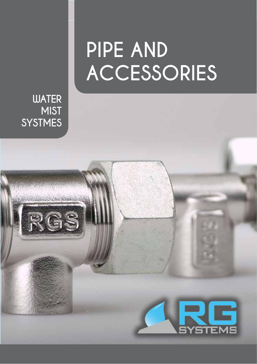## **PIPE AND ACCESSORIES**

G

**SYSTEMS** 

**WATER MIST SYSTMES**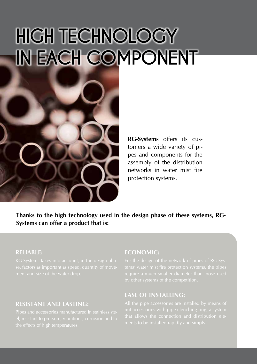## **high technology IN EACH COMPONENT**



**RG-Systems** offers its customers a wide variety of pipes and components for the assembly of the distribution networks in water mist fire protection systems.

**Thanks to the high technology used in the design phase of these systems, RG-Systems can offer a product that is:**

#### **Reliable:**

#### **Resistant and lasting:**

#### **Economic:**

For the design of the network of pipes of RG Sys-

#### **Ease of installing:**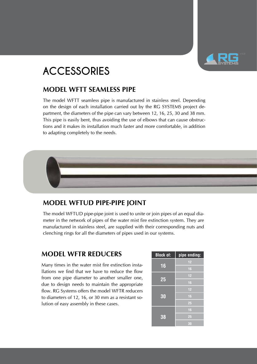

### **ACCESSORIES**

#### **model WFTT seamless pipe**

The model WFTT seamless pipe is manufactured in stainless steel. Depending on the design of each installation carried out by the RG SYSTEMS project department, the diameters of the pipe can vary between 12, 16, 25, 30 and 38 mm. This pipe is easily bent, thus avoiding the use of elbows that can cause obstructions and it makes its installation much faster and more comfortable, in addition to adapting completely to the needs.

#### **model WFTUD pipe-pipe joint**

The model WFTUD pipe-pipe joint is used to unite or join pipes of an equal diameter in the network of pipes of the water mist fire extinction system. They are manufactured in stainless steel, are supplied with their corresponding nuts and clenching rings for all the diameters of pipes used in our systems.

#### **model WFTR reducers**

Many times in the water mist fire extinction installations we find that we have to reduce the flow from one pipe diameter to another smaller one. due to design needs to maintain the appropriate flow. RG Systems offers the model WFTR reducers to diameters of 12, 16, or 30 mm as a resistant solution of easy assembly in these cases.

| <b>Block of:</b> | pipe ending: |
|------------------|--------------|
| 16               | 12           |
|                  | 16           |
| 25               | 12           |
|                  | 16           |
| 30               | 12           |
|                  | 16           |
|                  | 25           |
| 38               | 16           |
|                  | 25           |
|                  | 30           |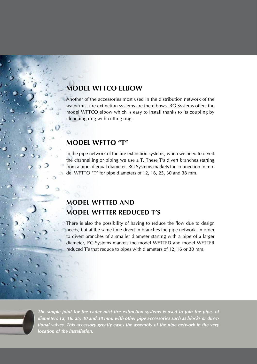#### **model WFTCO elbow**

Another of the accessories most used in the distribution network of the water mist fire extinction systems are the elbows. RG Systems offers the model WFTCO elbow which is easy to install thanks to its coupling by clenching ring with cutting ring.

#### **model WFTTO "T"**

iN.

In the pipe network of the fire extinction systems, when we need to divert the channelling or piping we use a T. These T's divert branches starting from a pipe of equal diameter. RG Systems markets the connection in model WFTTO "T" for pipe diameters of 12, 16, 25, 30 and 38 mm.

#### **model WFTTED and model WFTTER reduced T's**

There is also the possibility of having to reduce the flow due to design needs, but at the same time divert in branches the pipe network. In order to divert branches of a smaller diameter starting with a pipe of a larger diameter, RG-Systems markets the model WFTTED and model WFTTER reduced T's that reduce to pipes with diameters of 12, 16 or 30 mm.



*The simple joint for the water mist fire extinction systems is used to join the pipe, of diameters 12, 16, 25, 30 and 38 mm, with other pipe accessories such as blocks or directional valves. This accessory greatly eases the assembly of the pipe network in the very location of the installation.*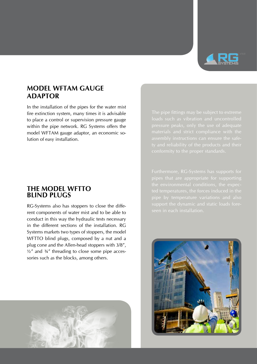

#### **model WFTAM gauge adaptor**

In the installation of the pipes for the water mist fire extinction system, many times it is advisable to place a control or supervision pressure gauge within the pipe network. RG Systems offers the model WFTAM gauge adaptor, an economic solution of easy installation.

#### **the model WFTTO blind plugs**

RG-Systems also has stoppers to close the different components of water mist and to be able to conduct in this way the hydraulic tests necessary in the different sections of the installation. RG Systems markets two types of stoppers, the model WFTTO blind plugs, composed by a nut and a plug cone and the Allen-head stoppers with 3/8",  $\frac{1}{2}$  and  $\frac{3}{4}$ " threading to close some pipe accessories such as the blocks, among others.



pipes that are appropriate for supporting pipe by temperature variations and also